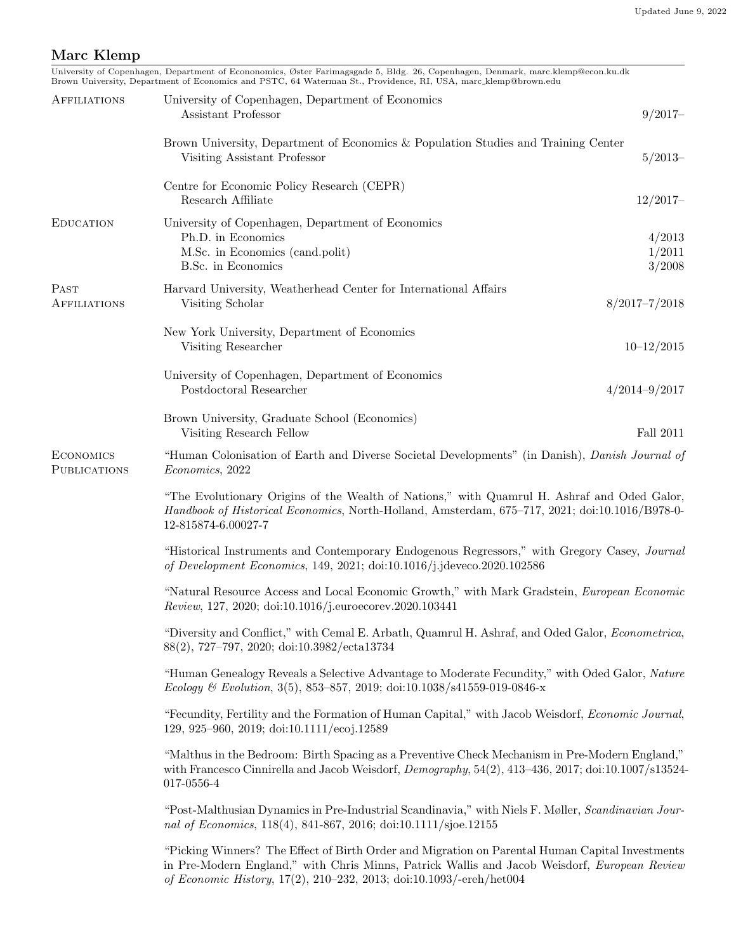## <span id="page-0-0"></span>Marc Klemp

|                                         | University of Copenhagen, Department of Econonomics, Øster Farimagsgade 5, Bldg. 26, Copenhagen, Denmark, marc.klemp@econ.ku.dk<br>Brown University, Department of Economics and PSTC, 64 Waterman St., Providence, RI, USA, marc_klemp@brown.edu                      |                            |  |
|-----------------------------------------|------------------------------------------------------------------------------------------------------------------------------------------------------------------------------------------------------------------------------------------------------------------------|----------------------------|--|
| <b>AFFILIATIONS</b>                     | University of Copenhagen, Department of Economics<br>Assistant Professor                                                                                                                                                                                               | $9/2017-$                  |  |
|                                         | Brown University, Department of Economics & Population Studies and Training Center<br>Visiting Assistant Professor                                                                                                                                                     | $5/2013-$                  |  |
|                                         | Centre for Economic Policy Research (CEPR)<br>Research Affiliate                                                                                                                                                                                                       | $12/2017-$                 |  |
| <b>EDUCATION</b>                        | University of Copenhagen, Department of Economics<br>Ph.D. in Economics<br>M.Sc. in Economics (cand.polit)<br>B.Sc. in Economics                                                                                                                                       | 4/2013<br>1/2011<br>3/2008 |  |
| PAST<br><b>AFFILIATIONS</b>             | Harvard University, Weatherhead Center for International Affairs<br>$8/2017 - 7/2018$<br>Visiting Scholar                                                                                                                                                              |                            |  |
|                                         | New York University, Department of Economics<br>Visiting Researcher                                                                                                                                                                                                    | $10 - 12/2015$             |  |
|                                         | University of Copenhagen, Department of Economics<br>Postdoctoral Researcher<br>$4/2014 - 9/2017$                                                                                                                                                                      |                            |  |
|                                         | Brown University, Graduate School (Economics)<br>Visiting Research Fellow                                                                                                                                                                                              | Fall 2011                  |  |
| <b>ECONOMICS</b><br><b>PUBLICATIONS</b> | "Human Colonisation of Earth and Diverse Societal Developments" (in Danish), Danish Journal of<br><i>Economics</i> , 2022                                                                                                                                              |                            |  |
|                                         | "The Evolutionary Origins of the Wealth of Nations," with Quamrul H. Ashraf and Oded Galor,<br>Handbook of Historical Economics, North-Holland, Amsterdam, 675–717, 2021; doi:10.1016/B978-0-<br>12-815874-6.00027-7                                                   |                            |  |
|                                         | "Historical Instruments and Contemporary Endogenous Regressors," with Gregory Casey, Journal<br>of Development Economics, 149, 2021; doi:10.1016/j.jdeveco.2020.102586                                                                                                 |                            |  |
|                                         | "Natural Resource Access and Local Economic Growth," with Mark Gradstein, European Economic<br>Review, 127, 2020; doi:10.1016/j.euroecorev.2020.103441                                                                                                                 |                            |  |
|                                         | "Diversity and Conflict," with Cemal E. Arbath, Quamrul H. Ashraf, and Oded Galor, <i>Econometrica</i> ,<br>88(2), 727-797, 2020; doi:10.3982/ecta13734                                                                                                                |                            |  |
|                                         | "Human Genealogy Reveals a Selective Advantage to Moderate Fecundity," with Oded Galor, Nature<br>Ecology & Evolution, 3(5), 853-857, 2019; doi:10.1038/s41559-019-0846-x                                                                                              |                            |  |
|                                         | "Fecundity, Fertility and the Formation of Human Capital," with Jacob Weisdorf, Economic Journal,<br>129, 925–960, 2019; doi:10.1111/ecoj.12589                                                                                                                        |                            |  |
|                                         | "Malthus in the Bedroom: Birth Spacing as a Preventive Check Mechanism in Pre-Modern England,"<br>with Francesco Cinnirella and Jacob Weisdorf, Demography, 54(2), 413-436, 2017; doi:10.1007/s13524-<br>017-0556-4                                                    |                            |  |
|                                         | "Post-Malthusian Dynamics in Pre-Industrial Scandinavia," with Niels F. Møller, Scandinavian Jour-<br>nal of Economics, 118(4), 841-867, 2016; doi:10.1111/sjoe.12155                                                                                                  |                            |  |
|                                         | "Picking Winners? The Effect of Birth Order and Migration on Parental Human Capital Investments<br>in Pre-Modern England," with Chris Minns, Patrick Wallis and Jacob Weisdorf, European Review<br>of Economic History, 17(2), 210-232, 2013; doi:10.1093/-ereh/het004 |                            |  |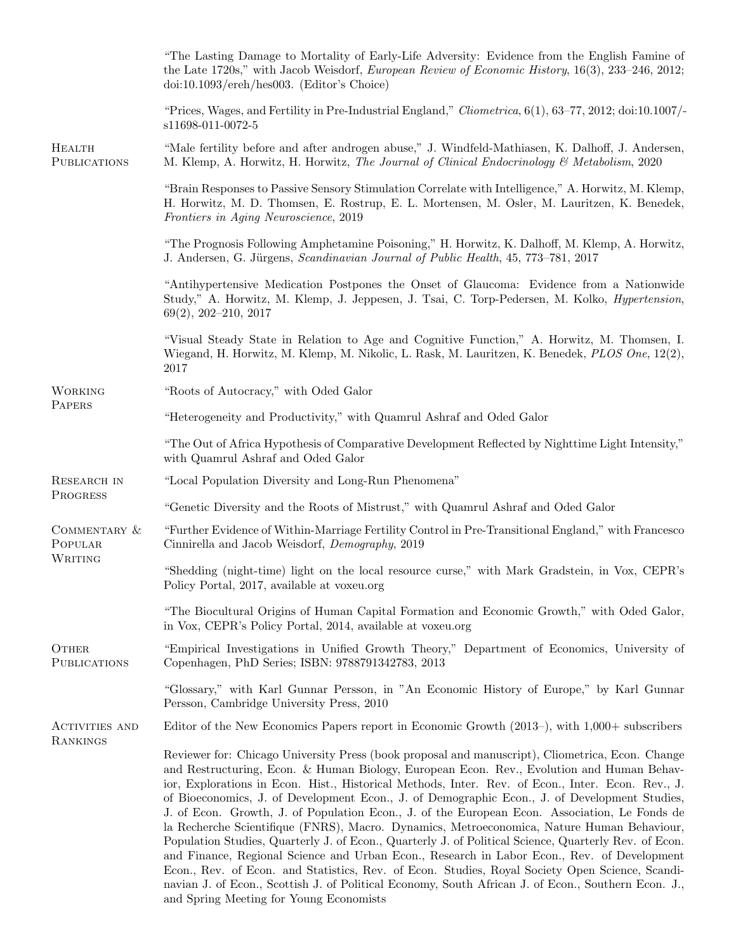|                                     | "The Lasting Damage to Mortality of Early-Life Adversity: Evidence from the English Famine of<br>the Late 1720s," with Jacob Weisdorf, European Review of Economic History, 16(3), 233-246, 2012;<br>doi:10.1093/ereh/hes003. (Editor's Choice)                                                                                                                                                                                                                                                                                                                                                                                                                                                                                                                                                                                                                                                                                                                                                                                                                 |
|-------------------------------------|-----------------------------------------------------------------------------------------------------------------------------------------------------------------------------------------------------------------------------------------------------------------------------------------------------------------------------------------------------------------------------------------------------------------------------------------------------------------------------------------------------------------------------------------------------------------------------------------------------------------------------------------------------------------------------------------------------------------------------------------------------------------------------------------------------------------------------------------------------------------------------------------------------------------------------------------------------------------------------------------------------------------------------------------------------------------|
|                                     | "Prices, Wages, and Fertility in Pre-Industrial England," Cliometrica, $6(1)$ , $63-77$ , $2012$ ; doi: $10.1007$ /-<br>s11698-011-0072-5                                                                                                                                                                                                                                                                                                                                                                                                                                                                                                                                                                                                                                                                                                                                                                                                                                                                                                                       |
| HEALTH<br><b>PUBLICATIONS</b>       | "Male fertility before and after androgen abuse," J. Windfeld-Mathiasen, K. Dalhoff, J. Andersen,<br>M. Klemp, A. Horwitz, H. Horwitz, The Journal of Clinical Endocrinology & Metabolism, 2020                                                                                                                                                                                                                                                                                                                                                                                                                                                                                                                                                                                                                                                                                                                                                                                                                                                                 |
|                                     | "Brain Responses to Passive Sensory Stimulation Correlate with Intelligence," A. Horwitz, M. Klemp,<br>H. Horwitz, M. D. Thomsen, E. Rostrup, E. L. Mortensen, M. Osler, M. Lauritzen, K. Benedek,<br>Frontiers in Aging Neuroscience, 2019                                                                                                                                                                                                                                                                                                                                                                                                                                                                                                                                                                                                                                                                                                                                                                                                                     |
|                                     | "The Prognosis Following Amphetamine Poisoning," H. Horwitz, K. Dalhoff, M. Klemp, A. Horwitz,<br>J. Andersen, G. Jürgens, <i>Scandinavian Journal of Public Health</i> , 45, 773–781, 2017                                                                                                                                                                                                                                                                                                                                                                                                                                                                                                                                                                                                                                                                                                                                                                                                                                                                     |
|                                     | "Antihypertensive Medication Postpones the Onset of Glaucoma: Evidence from a Nationwide<br>Study," A. Horwitz, M. Klemp, J. Jeppesen, J. Tsai, C. Torp-Pedersen, M. Kolko, <i>Hypertension</i> ,<br>$69(2), 202 - 210, 2017$                                                                                                                                                                                                                                                                                                                                                                                                                                                                                                                                                                                                                                                                                                                                                                                                                                   |
|                                     | "Visual Steady State in Relation to Age and Cognitive Function," A. Horwitz, M. Thomsen, I.<br>Wiegand, H. Horwitz, M. Klemp, M. Nikolic, L. Rask, M. Lauritzen, K. Benedek, PLOS One, 12(2),<br>2017                                                                                                                                                                                                                                                                                                                                                                                                                                                                                                                                                                                                                                                                                                                                                                                                                                                           |
| <b>WORKING</b>                      | "Roots of Autocracy," with Oded Galor                                                                                                                                                                                                                                                                                                                                                                                                                                                                                                                                                                                                                                                                                                                                                                                                                                                                                                                                                                                                                           |
| PAPERS                              | "Heterogeneity and Productivity," with Quamrul Ashraf and Oded Galor                                                                                                                                                                                                                                                                                                                                                                                                                                                                                                                                                                                                                                                                                                                                                                                                                                                                                                                                                                                            |
|                                     | "The Out of Africa Hypothesis of Comparative Development Reflected by Nighttime Light Intensity,"<br>with Quamrul Ashraf and Oded Galor                                                                                                                                                                                                                                                                                                                                                                                                                                                                                                                                                                                                                                                                                                                                                                                                                                                                                                                         |
| RESEARCH IN                         | "Local Population Diversity and Long-Run Phenomena"                                                                                                                                                                                                                                                                                                                                                                                                                                                                                                                                                                                                                                                                                                                                                                                                                                                                                                                                                                                                             |
| <b>PROGRESS</b>                     | "Genetic Diversity and the Roots of Mistrust," with Quamrul Ashraf and Oded Galor                                                                                                                                                                                                                                                                                                                                                                                                                                                                                                                                                                                                                                                                                                                                                                                                                                                                                                                                                                               |
| COMMENTARY &<br>POPULAR<br>WRITING  | "Further Evidence of Within-Marriage Fertility Control in Pre-Transitional England," with Francesco<br>Cinnirella and Jacob Weisdorf, Demography, 2019                                                                                                                                                                                                                                                                                                                                                                                                                                                                                                                                                                                                                                                                                                                                                                                                                                                                                                          |
|                                     | "Shedding (night-time) light on the local resource curse," with Mark Gradstein, in Vox, CEPR's<br>Policy Portal, 2017, available at voxeu.org                                                                                                                                                                                                                                                                                                                                                                                                                                                                                                                                                                                                                                                                                                                                                                                                                                                                                                                   |
|                                     | "The Biocultural Origins of Human Capital Formation and Economic Growth," with Oded Galor,<br>in Vox, CEPR's Policy Portal, 2014, available at voxeu.org                                                                                                                                                                                                                                                                                                                                                                                                                                                                                                                                                                                                                                                                                                                                                                                                                                                                                                        |
| <b>OTHER</b><br><b>PUBLICATIONS</b> | "Empirical Investigations in Unified Growth Theory," Department of Economics, University of<br>Copenhagen, PhD Series; ISBN: 9788791342783, 2013                                                                                                                                                                                                                                                                                                                                                                                                                                                                                                                                                                                                                                                                                                                                                                                                                                                                                                                |
|                                     | "Glossary," with Karl Gunnar Persson, in "An Economic History of Europe," by Karl Gunnar<br>Persson, Cambridge University Press, 2010                                                                                                                                                                                                                                                                                                                                                                                                                                                                                                                                                                                                                                                                                                                                                                                                                                                                                                                           |
| ACTIVITIES AND                      | Editor of the New Economics Papers report in Economic Growth (2013–), with 1,000+ subscribers                                                                                                                                                                                                                                                                                                                                                                                                                                                                                                                                                                                                                                                                                                                                                                                                                                                                                                                                                                   |
| RANKINGS                            | Reviewer for: Chicago University Press (book proposal and manuscript), Cliometrica, Econ. Change<br>and Restructuring, Econ. & Human Biology, European Econ. Rev., Evolution and Human Behav-<br>ior, Explorations in Econ. Hist., Historical Methods, Inter. Rev. of Econ., Inter. Econ. Rev., J.<br>of Bioeconomics, J. of Development Econ., J. of Demographic Econ., J. of Development Studies,<br>J. of Econ. Growth, J. of Population Econ., J. of the European Econ. Association, Le Fonds de<br>la Recherche Scientifique (FNRS), Macro. Dynamics, Metroeconomica, Nature Human Behaviour,<br>Population Studies, Quarterly J. of Econ., Quarterly J. of Political Science, Quarterly Rev. of Econ.<br>and Finance, Regional Science and Urban Econ., Research in Labor Econ., Rev. of Development<br>Econ., Rev. of Econ. and Statistics, Rev. of Econ. Studies, Royal Society Open Science, Scandi-<br>navian J. of Econ., Scottish J. of Political Economy, South African J. of Econ., Southern Econ. J.,<br>and Spring Meeting for Young Economists |